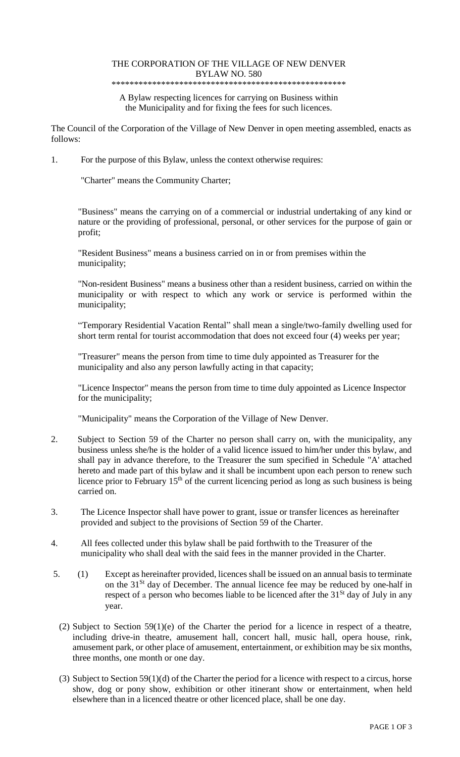### THE CORPORATION OF THE VILLAGE OF NEW DENVER BYLAW NO. 580

#### \*\*\*\*\*\*\*\*\*\*\*\*\*\*\*\*\*\*\*\*\*\*\*\*\*\*\*\*\*\*\*\*\*\*\*\*\*\*\*\*\*\*\*\*\*\*\*\*\*\*\*\*

A Bylaw respecting licences for carrying on Business within the Municipality and for fixing the fees for such licences.

The Council of the Corporation of the Village of New Denver in open meeting assembled, enacts as follows:

1. For the purpose of this Bylaw, unless the context otherwise requires:

"Charter" means the Community Charter;

"Business" means the carrying on of a commercial or industrial undertaking of any kind or nature or the providing of professional, personal, or other services for the purpose of gain or profit;

"Resident Business" means a business carried on in or from premises within the municipality;

"Non-resident Business" means a business other than a resident business, carried on within the municipality or with respect to which any work or service is performed within the municipality;

"Temporary Residential Vacation Rental" shall mean a single/two-family dwelling used for short term rental for tourist accommodation that does not exceed four (4) weeks per year;

"Treasurer" means the person from time to time duly appointed as Treasurer for the municipality and also any person lawfully acting in that capacity;

"Licence Inspector" means the person from time to time duly appointed as Licence Inspector for the municipality;

"Municipality" means the Corporation of the Village of New Denver.

- 2. Subject to Section 59 of the Charter no person shall carry on, with the municipality, any business unless she/he is the holder of a valid licence issued to him/her under this bylaw, and shall pay in advance therefore, to the Treasurer the sum specified in Schedule "A' attached hereto and made part of this bylaw and it shall be incumbent upon each person to renew such licence prior to February  $15<sup>th</sup>$  of the current licencing period as long as such business is being carried on.
- 3. The Licence Inspector shall have power to grant, issue or transfer licences as hereinafter provided and subject to the provisions of Section 59 of the Charter.
- 4. All fees collected under this bylaw shall be paid forthwith to the Treasurer of the municipality who shall deal with the said fees in the manner provided in the Charter.
- 5. (1) Except as hereinafter provided, licences shall be issued on an annual basis to terminate on the 31<sup>St</sup> day of December. The annual licence fee may be reduced by one-half in respect of a person who becomes liable to be licenced after the 31<sup>St</sup> day of July in any year.
	- (2) Subject to Section 59(1)(e) of the Charter the period for a licence in respect of a theatre, including drive-in theatre, amusement hall, concert hall, music hall, opera house, rink, amusement park, or other place of amusement, entertainment, or exhibition may be six months, three months, one month or one day.
	- (3) Subject to Section 59(1)(d) of the Charter the period for a licence with respect to a circus, horse show, dog or pony show, exhibition or other itinerant show or entertainment, when held elsewhere than in a licenced theatre or other licenced place, shall be one day.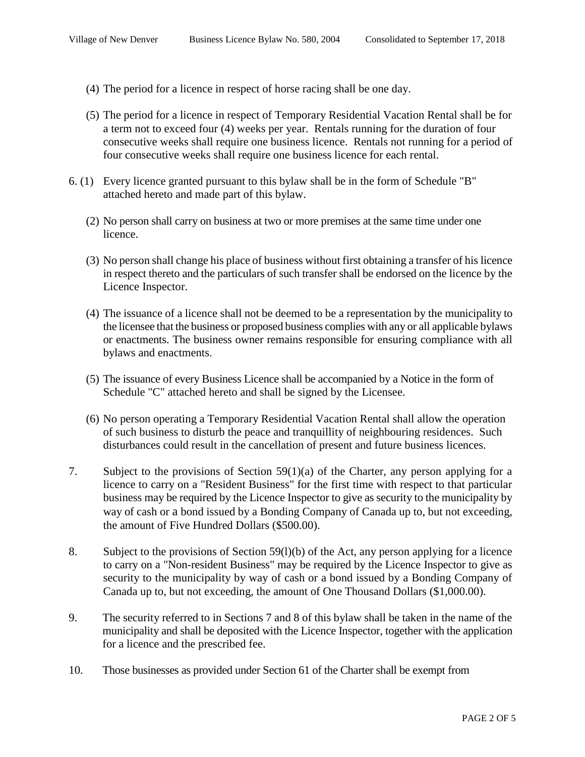- (4) The period for a licence in respect of horse racing shall be one day.
- (5) The period for a licence in respect of Temporary Residential Vacation Rental shall be for a term not to exceed four (4) weeks per year. Rentals running for the duration of four consecutive weeks shall require one business licence. Rentals not running for a period of four consecutive weeks shall require one business licence for each rental.
- 6. (1) Every licence granted pursuant to this bylaw shall be in the form of Schedule "B" attached hereto and made part of this bylaw.
	- (2) No person shall carry on business at two or more premises at the same time under one licence.
	- (3) No person shall change his place of business without first obtaining a transfer of his licence in respect thereto and the particulars of such transfer shall be endorsed on the licence by the Licence Inspector.
	- (4) The issuance of a licence shall not be deemed to be a representation by the municipality to the licensee that the business or proposed business complies with any or all applicable bylaws or enactments. The business owner remains responsible for ensuring compliance with all bylaws and enactments.
	- (5) The issuance of every Business Licence shall be accompanied by a Notice in the form of Schedule "C" attached hereto and shall be signed by the Licensee.
	- (6) No person operating a Temporary Residential Vacation Rental shall allow the operation of such business to disturb the peace and tranquillity of neighbouring residences. Such disturbances could result in the cancellation of present and future business licences.
- 7. Subject to the provisions of Section 59(1)(a) of the Charter, any person applying for a licence to carry on a "Resident Business" for the first time with respect to that particular business may be required by the Licence Inspector to give as security to the municipality by way of cash or a bond issued by a Bonding Company of Canada up to, but not exceeding, the amount of Five Hundred Dollars (\$500.00).
- 8. Subject to the provisions of Section 59(l)(b) of the Act, any person applying for a licence to carry on a "Non-resident Business" may be required by the Licence Inspector to give as security to the municipality by way of cash or a bond issued by a Bonding Company of Canada up to, but not exceeding, the amount of One Thousand Dollars (\$1,000.00).
- 9. The security referred to in Sections 7 and 8 of this bylaw shall be taken in the name of the municipality and shall be deposited with the Licence Inspector, together with the application for a licence and the prescribed fee.
- 10. Those businesses as provided under Section 61 of the Charter shall be exempt from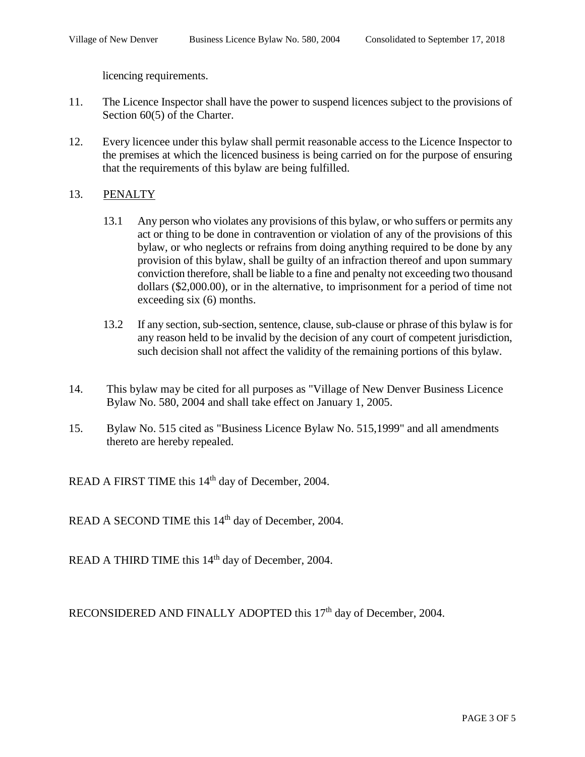licencing requirements.

- 11. The Licence Inspector shall have the power to suspend licences subject to the provisions of Section 60(5) of the Charter.
- 12. Every licencee under this bylaw shall permit reasonable access to the Licence Inspector to the premises at which the licenced business is being carried on for the purpose of ensuring that the requirements of this bylaw are being fulfilled.

## 13. PENALTY

- 13.1 Any person who violates any provisions of this bylaw, or who suffers or permits any act or thing to be done in contravention or violation of any of the provisions of this bylaw, or who neglects or refrains from doing anything required to be done by any provision of this bylaw, shall be guilty of an infraction thereof and upon summary conviction therefore, shall be liable to a fine and penalty not exceeding two thousand dollars (\$2,000.00), or in the alternative, to imprisonment for a period of time not exceeding six (6) months.
- 13.2 If any section, sub-section, sentence, clause, sub-clause or phrase of this bylaw is for any reason held to be invalid by the decision of any court of competent jurisdiction, such decision shall not affect the validity of the remaining portions of this bylaw.
- 14. This bylaw may be cited for all purposes as "Village of New Denver Business Licence Bylaw No. 580, 2004 and shall take effect on January 1, 2005.
- 15. Bylaw No. 515 cited as "Business Licence Bylaw No. 515,1999" and all amendments thereto are hereby repealed.

READ A FIRST TIME this 14<sup>th</sup> day of December, 2004.

READ A SECOND TIME this 14<sup>th</sup> day of December, 2004.

READ A THIRD TIME this 14<sup>th</sup> day of December, 2004.

RECONSIDERED AND FINALLY ADOPTED this 17<sup>th</sup> day of December, 2004.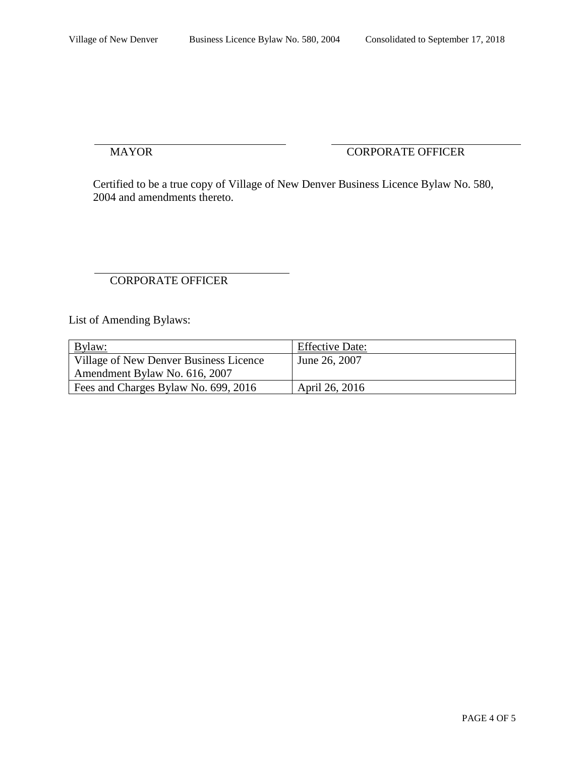## MAYOR CORPORATE OFFICER

Certified to be a true copy of Village of New Denver Business Licence Bylaw No. 580, 2004 and amendments thereto.

# CORPORATE OFFICER

List of Amending Bylaws:

| Bylaw:                                 | <b>Effective Date:</b> |
|----------------------------------------|------------------------|
| Village of New Denver Business Licence | June 26, 2007          |
| Amendment Bylaw No. 616, 2007          |                        |
| Fees and Charges Bylaw No. 699, 2016   | April 26, 2016         |